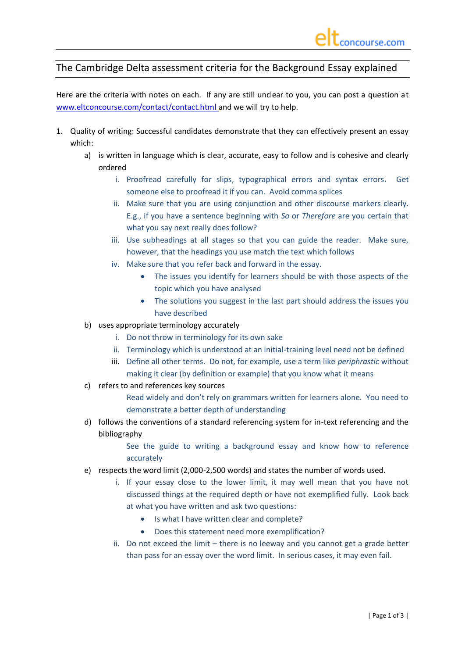## The Cambridge Delta assessment criteria for the Background Essay explained

Here are the criteria with notes on each. If any are still unclear to you, you can post a question at [www.eltconcourse.com/contact/contact.html](http://www.eltconcourse.com/contact/contact.html) and we will try to help.

- 1. Quality of writing: Successful candidates demonstrate that they can effectively present an essay which:
	- a) is written in language which is clear, accurate, easy to follow and is cohesive and clearly ordered
		- i. Proofread carefully for slips, typographical errors and syntax errors. Get someone else to proofread it if you can. Avoid comma splices
		- ii. Make sure that you are using conjunction and other discourse markers clearly. E.g., if you have a sentence beginning with *So* or *Therefore* are you certain that what you say next really does follow?
		- iii. Use subheadings at all stages so that you can guide the reader. Make sure, however, that the headings you use match the text which follows
		- iv. Make sure that you refer back and forward in the essay.
			- The issues you identify for learners should be with those aspects of the topic which you have analysed
			- The solutions you suggest in the last part should address the issues you have described
	- b) uses appropriate terminology accurately
		- i. Do not throw in terminology for its own sake
		- ii. Terminology which is understood at an initial-training level need not be defined
		- iii. Define all other terms. Do not, for example, use a term like *periphrastic* without making it clear (by definition or example) that you know what it means
	- c) refers to and references key sources

Read widely and don't rely on grammars written for learners alone. You need to demonstrate a better depth of understanding

d) follows the conventions of a standard referencing system for in-text referencing and the bibliography

> See the guide to writing a background essay and know how to reference accurately

- e) respects the word limit (2,000-2,500 words) and states the number of words used.
	- i. If your essay close to the lower limit, it may well mean that you have not discussed things at the required depth or have not exemplified fully. Look back at what you have written and ask two questions:
		- Is what I have written clear and complete?
		- Does this statement need more exemplification?
	- ii. Do not exceed the limit there is no leeway and you cannot get a grade better than pass for an essay over the word limit. In serious cases, it may even fail.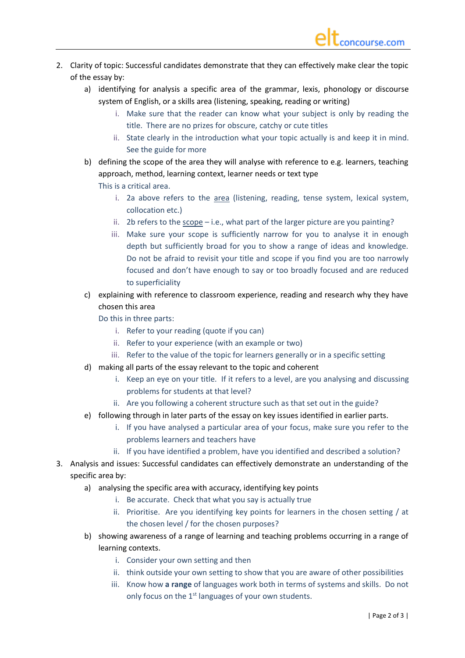- 2. Clarity of topic: Successful candidates demonstrate that they can effectively make clear the topic of the essay by:
	- a) identifying for analysis a specific area of the grammar, lexis, phonology or discourse system of English, or a skills area (listening, speaking, reading or writing)
		- i. Make sure that the reader can know what your subject is only by reading the title. There are no prizes for obscure, catchy or cute titles
		- ii. State clearly in the introduction what your topic actually is and keep it in mind. See the guide for more
	- b) defining the scope of the area they will analyse with reference to e.g. learners, teaching approach, method, learning context, learner needs or text type This is a critical area.
		- i. 2a above refers to the area (listening, reading, tense system, lexical system, collocation etc.)
		- ii. 2b refers to the scope i.e., what part of the larger picture are you painting?
		- iii. Make sure your scope is sufficiently narrow for you to analyse it in enough depth but sufficiently broad for you to show a range of ideas and knowledge. Do not be afraid to revisit your title and scope if you find you are too narrowly focused and don't have enough to say or too broadly focused and are reduced to superficiality
	- c) explaining with reference to classroom experience, reading and research why they have chosen this area
		- Do this in three parts:
			- i. Refer to your reading (quote if you can)
			- ii. Refer to your experience (with an example or two)
			- iii. Refer to the value of the topic for learners generally or in a specific setting
	- d) making all parts of the essay relevant to the topic and coherent
		- i. Keep an eye on your title. If it refers to a level, are you analysing and discussing problems for students at that level?
		- ii. Are you following a coherent structure such as that set out in the guide?
	- e) following through in later parts of the essay on key issues identified in earlier parts.
		- i. If you have analysed a particular area of your focus, make sure you refer to the problems learners and teachers have
		- ii. If you have identified a problem, have you identified and described a solution?
- 3. Analysis and issues: Successful candidates can effectively demonstrate an understanding of the specific area by:
	- a) analysing the specific area with accuracy, identifying key points
		- i. Be accurate. Check that what you say is actually true
		- ii. Prioritise. Are you identifying key points for learners in the chosen setting / at the chosen level / for the chosen purposes?
	- b) showing awareness of a range of learning and teaching problems occurring in a range of learning contexts.
		- i. Consider your own setting and then
		- ii. think outside your own setting to show that you are aware of other possibilities
		- iii. Know how **a range** of languages work both in terms of systems and skills. Do not only focus on the 1<sup>st</sup> languages of your own students.